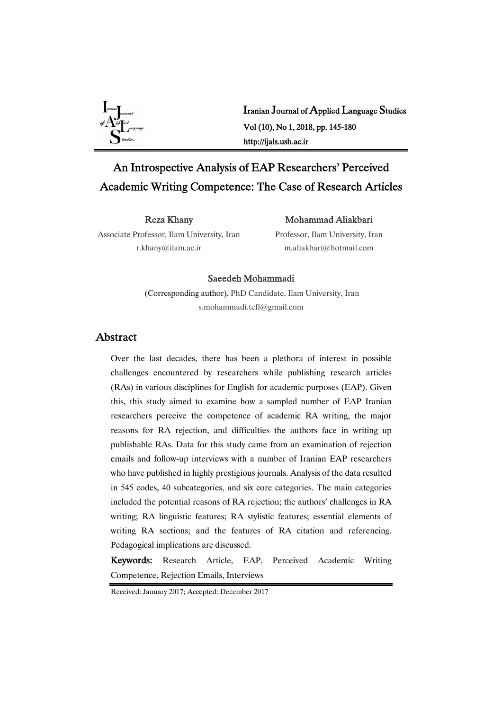

Iranian Journal of Applied Language Studies Vol(10),No1,2018,pp.145-180 http://ijals.usb.ac.ir

# An Introspective Analysis of EAP Researchers' Perceived Academic Writing Competence: The Case of Research Articles

RezaKhany

## Mohammad Aliakbari

Associate Professor, Ilam University, Iran r.khany@ilam.ac.ir

Professor, Ilam University, Iran m.aliakbari@hotmail.com

## Saeedeh Mohammadi

(Corresponding author), PhD Candidate, Ilam University, Iran s.mohammadi.tefl@gmail.com

# Abstract

Over the last decades, there has been a plethora of interest in possible challenges encountered by researchers while publishing research articles (RAs) in various disciplines for English for academic purposes (EAP). Given this, this study aimed to examine how a sampled number of EAP Iranian researchers perceive the competence of academic RA writing, the major reasons for RA rejection, and difficulties the authors face in writing up publishable RAs. Data for this study came from an examination of rejection emails and follow-up interviews with a number of Iranian EAP researchers who have published in highly prestigious journals. Analysis of the data resulted in 545 codes, 40 subcategories, and six core categories. The main categories included the potential reasons of RA rejection; the authors' challenges in RA writing; RA linguistic features; RA stylistic features; essential elements of writing RA sections; and the features of RA citation and referencing. Pedagogical implications are discussed.

Keywords: Research Article, EAP, Perceived Academic Writing Competence, Rejection Emails, Interviews

Received: January 2017; Accepted: December 2017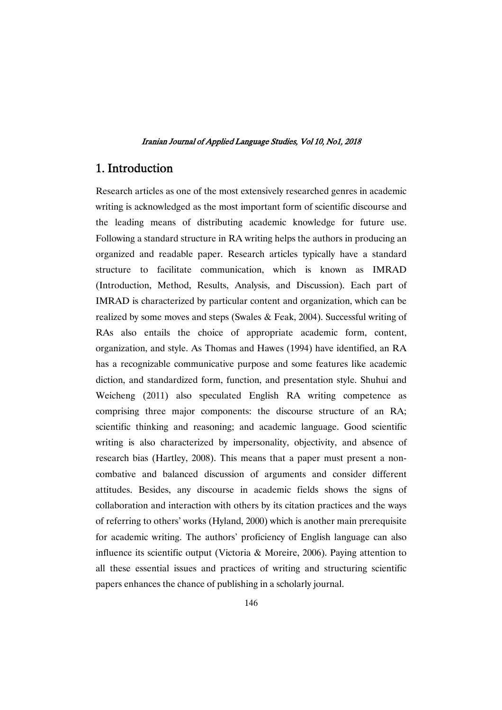# 1. Introduction

Research articles as one of the most extensively researched genres in academic writing is acknowledged as the most important form of scientific discourse and the leading means of distributing academic knowledge for future use. Following a standard structure in RA writing helps the authors in producing an organized and readable paper. Research articles typically have a standard structure to facilitate communication, which is known as IMRAD (Introduction, Method, Results, Analysis, and Discussion). Each part of IMRAD is characterized by particular content and organization, which can be realized by some moves and steps (Swales & Feak, 2004). Successful writing of RAs also entails the choice of appropriate academic form, content, organization, and style. As Thomas and Hawes (1994) have identified, an RA has a recognizable communicative purpose and some features like academic diction, and standardized form, function, and presentation style. Shuhui and Weicheng (2011) also speculated English RA writing competence as comprising three major components: the discourse structure of an RA; scientific thinking and reasoning; and academic language. Good scientific writing is also characterized by impersonality, objectivity, and absence of research bias (Hartley, 2008). This means that a paper must present a noncombative and balanced discussion of arguments and consider different attitudes. Besides, any discourse in academic fields shows the signs of collaboration and interaction with others by its citation practices and the ways of referring to others' works (Hyland, 2000) which is another main prerequisite for academic writing. The authors' proficiency of English language can also influence its scientific output (Victoria & Moreire, 2006). Paying attention to all these essential issues and practices of writing and structuring scientific papers enhances the chance of publishing in a scholarly journal.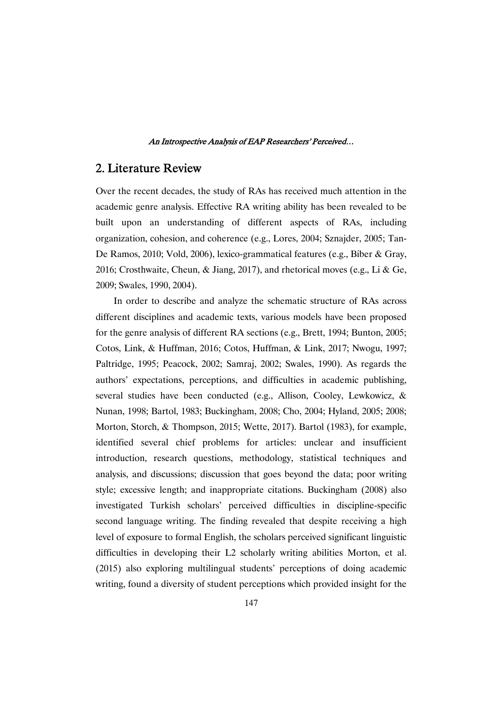# 2. Literature Review

Over the recent decades, the study of RAs has received much attention in the academic genre analysis. Effective RA writing ability has been revealed to be built upon an understanding of different aspects of RAs, including organization, cohesion, and coherence (e.g., Lores, 2004; Sznajder, 2005; Tan-De Ramos, 2010; Vold, 2006), lexico-grammatical features (e.g., Biber & Gray, 2016; Crosthwaite, Cheun, & Jiang, 2017), and rhetorical moves (e.g., Li & Ge, 2009; Swales, 1990, 2004).

In order to describe and analyze the schematic structure of RAs across different disciplines and academic texts, various models have been proposed for the genre analysis of different RA sections (e.g., Brett, 1994; Bunton, 2005; Cotos, Link, & Huffman, 2016; Cotos, Huffman, & Link, 2017; Nwogu, 1997; Paltridge, 1995; Peacock, 2002; Samraj, 2002; Swales, 1990). As regards the authors' expectations, perceptions, and difficulties in academic publishing, several studies have been conducted (e.g., Allison, Cooley, Lewkowicz, & Nunan, 1998; Bartol, 1983; Buckingham, 2008; Cho, 2004; Hyland, 2005; 2008; Morton, Storch, & Thompson, 2015; Wette, 2017). Bartol (1983), for example, identified several chief problems for articles: unclear and insufficient introduction, research questions, methodology, statistical techniques and analysis, and discussions; discussion that goes beyond the data; poor writing style; excessive length; and inappropriate citations. Buckingham (2008) also investigated Turkish scholars' perceived difficulties in discipline-specific second language writing. The finding revealed that despite receiving a high level of exposure to formal English, the scholars perceived significant linguistic difficulties in developing their L2 scholarly writing abilities Morton, et al. (2015) also exploring multilingual students' perceptions of doing academic writing, found a diversity of student perceptions which provided insight for the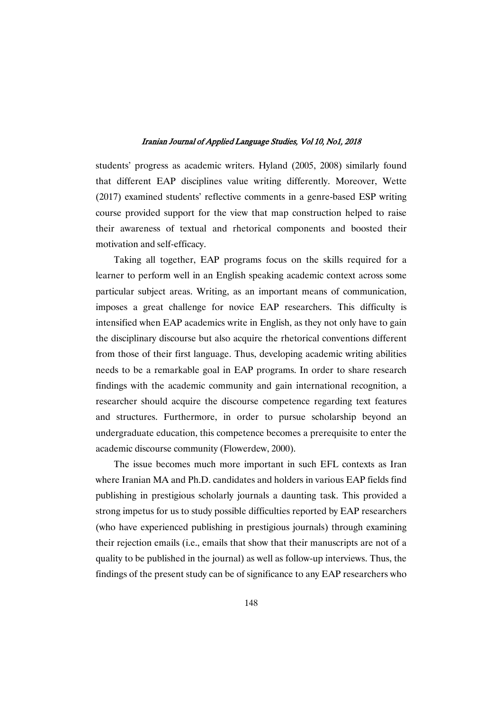students' progress as academic writers. Hyland (2005, 2008) similarly found that different EAP disciplines value writing differently. Moreover, Wette (2017) examined students' reflective comments in a genre-based ESP writing course provided support for the view that map construction helped to raise their awareness of textual and rhetorical components and boosted their motivation and self-efficacy.

Taking all together, EAP programs focus on the skills required for a learner to perform well in an English speaking academic context across some particular subject areas. Writing, as an important means of communication, imposes a great challenge for novice EAP researchers. This difficulty is intensified when EAP academics write in English, as they not only have to gain the disciplinary discourse but also acquire the rhetorical conventions different from those of their first language. Thus, developing academic writing abilities needs to be a remarkable goal in EAP programs. In order to share research findings with the academic community and gain international recognition, a researcher should acquire the discourse competence regarding text features and structures. Furthermore, in order to pursue scholarship beyond an undergraduate education, this competence becomes a prerequisite to enter the academic discourse community (Flowerdew, 2000).

The issue becomes much more important in such EFL contexts as Iran where Iranian MA and Ph.D. candidates and holders in various EAP fields find publishing in prestigious scholarly journals a daunting task. This provided a strong impetus for us to study possible difficulties reported by EAP researchers (who have experienced publishing in prestigious journals) through examining their rejection emails (i.e., emails that show that their manuscripts are not of a quality to be published in the journal) as well as follow-up interviews. Thus, the findings of the present study can be of significance to any EAP researchers who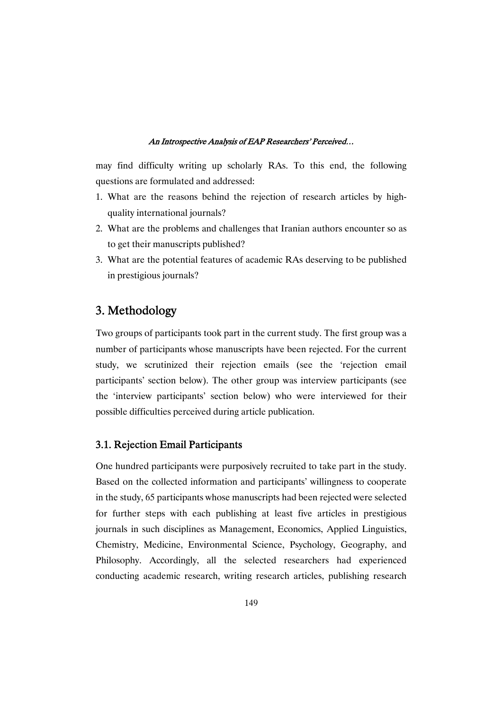may find difficulty writing up scholarly RAs. To this end, the following questions are formulated and addressed:

- 1. What are the reasons behind the rejection of research articles by highquality international journals?
- 2. What are the problems and challenges that Iranian authors encounter so as to get their manuscripts published?
- 3. What are the potential features of academic RAs deserving to be published in prestigious journals?

# 3. Methodology

Two groups of participants took part in the current study. The first group was a number of participants whose manuscripts have been rejected. For the current study, we scrutinized their rejection emails (see the 'rejection email participants' section below). The other group was interview participants (see the 'interview participants' section below) who were interviewed for their possible difficulties perceived during article publication.

# 3.1. Rejection Email Participants

One hundred participants were purposively recruited to take part in the study. Based on the collected information and participants' willingness to cooperate in the study, 65 participants whose manuscripts had been rejected were selected for further steps with each publishing at least five articles in prestigious journals in such disciplines as Management, Economics, Applied Linguistics, Chemistry, Medicine, Environmental Science, Psychology, Geography, and Philosophy. Accordingly, all the selected researchers had experienced conducting academic research, writing research articles, publishing research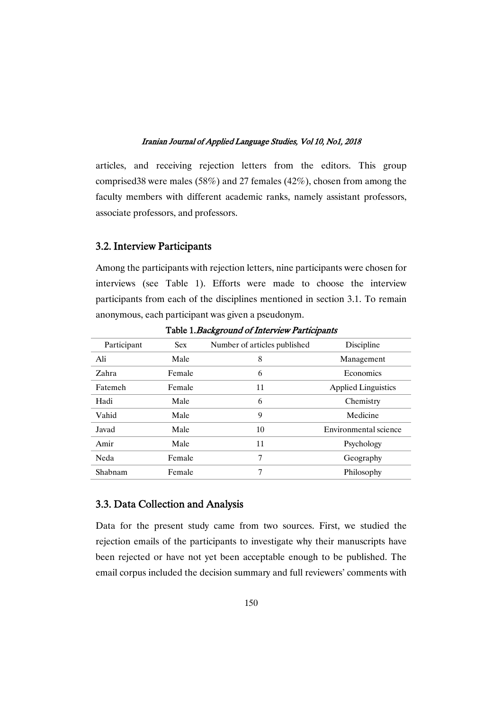articles, and receiving rejection letters from the editors. This group comprised38 were males (58%) and 27 females (42%), chosen from among the faculty members with different academic ranks, namely assistant professors, associate professors, and professors.

## 3.2. Interview Participants

Among the participants with rejection letters, nine participants were chosen for interviews (see Table 1). Efforts were made to choose the interview participants from each of the disciplines mentioned in section 3.1. To remain anonymous, each participant was given a pseudonym.

| Participant | <b>Sex</b> | Number of articles published | Discipline                 |
|-------------|------------|------------------------------|----------------------------|
| Ali         | Male       | 8                            | Management                 |
| Zahra       | Female     | 6                            | Economics                  |
| Fatemeh     | Female     | 11                           | <b>Applied Linguistics</b> |
| Hadi        | Male       | 6                            | Chemistry                  |
| Vahid       | Male       | 9                            | Medicine                   |
| Javad       | Male       | 10                           | Environmental science      |
| Amir        | Male       | 11                           | Psychology                 |
| Neda        | Female     | 7                            | Geography                  |
| Shabnam     | Female     | 7                            | Philosophy                 |

Table 1. Background of Interview Participants

## 3.3. Data Collection and Analysis

Data for the present study came from two sources. First, we studied the rejection emails of the participants to investigate why their manuscripts have been rejected or have not yet been acceptable enough to be published. The email corpus included the decision summary and full reviewers' comments with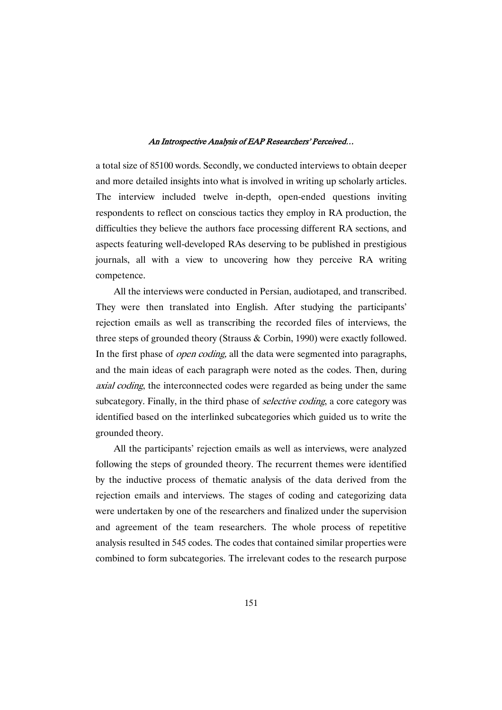a total size of 85100 words. Secondly, we conducted interviews to obtain deeper and more detailed insights into what is involved in writing up scholarly articles. The interview included twelve in-depth, open-ended questions inviting respondents to reflect on conscious tactics they employ in RA production, the difficulties they believe the authors face processing different RA sections, and aspects featuring well-developed RAs deserving to be published in prestigious journals, all with a view to uncovering how they perceive RA writing competence.

All the interviews were conducted in Persian, audiotaped, and transcribed. They were then translated into English. After studying the participants' rejection emails as well as transcribing the recorded files of interviews, the three steps of grounded theory (Strauss & Corbin, 1990) were exactly followed. In the first phase of *open coding*, all the data were segmented into paragraphs, and the main ideas of each paragraph were noted as the codes. Then, during axial coding, the interconnected codes were regarded as being under the same subcategory. Finally, in the third phase of *selective coding*, a core category was identified based on the interlinked subcategories which guided us to write the grounded theory.

All the participants' rejection emails as well as interviews, were analyzed following the steps of grounded theory. The recurrent themes were identified by the inductive process of thematic analysis of the data derived from the rejection emails and interviews. The stages of coding and categorizing data were undertaken by one of the researchers and finalized under the supervision and agreement of the team researchers. The whole process of repetitive analysis resulted in 545 codes. The codes that contained similar properties were combined to form subcategories. The irrelevant codes to the research purpose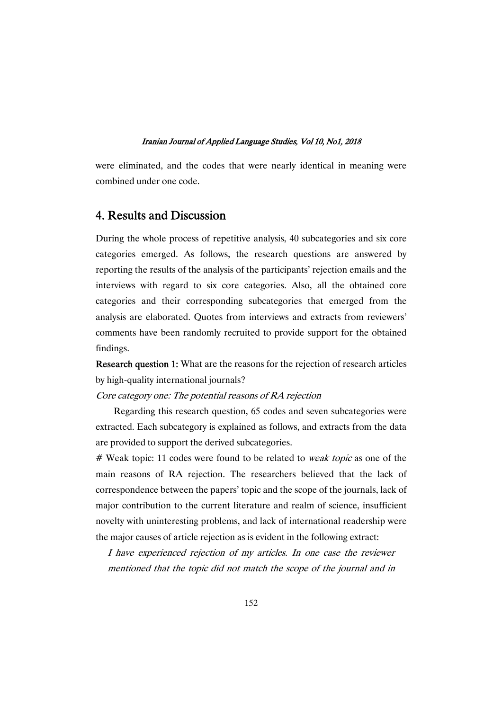were eliminated, and the codes that were nearly identical in meaning were combined under one code.

# 4. Results and Discussion

During the whole process of repetitive analysis, 40 subcategories and six core categories emerged. As follows, the research questions are answered by reporting the results of the analysis of the participants' rejection emails and the interviews with regard to six core categories. Also, all the obtained core categories and their corresponding subcategories that emerged from the analysis are elaborated. Quotes from interviews and extracts from reviewers' comments have been randomly recruited to provide support for the obtained findings.

Research question 1: What are the reasons for the rejection of research articles by high-quality international journals?

Core category one: The potential reasons of RA rejection

Regarding this research question, 65 codes and seven subcategories were extracted. Each subcategory is explained as follows, and extracts from the data are provided to support the derived subcategories.

# Weak topic: 11 codes were found to be related to *weak topic* as one of the main reasons of RA rejection. The researchers believed that the lack of correspondence between the papers' topic and the scope of the journals, lack of major contribution to the current literature and realm of science, insufficient novelty with uninteresting problems, and lack of international readership were the major causes of article rejection as is evident in the following extract:

I have experienced rejection of my articles. In one case the reviewer mentioned that the topic did not match the scope of the journal and in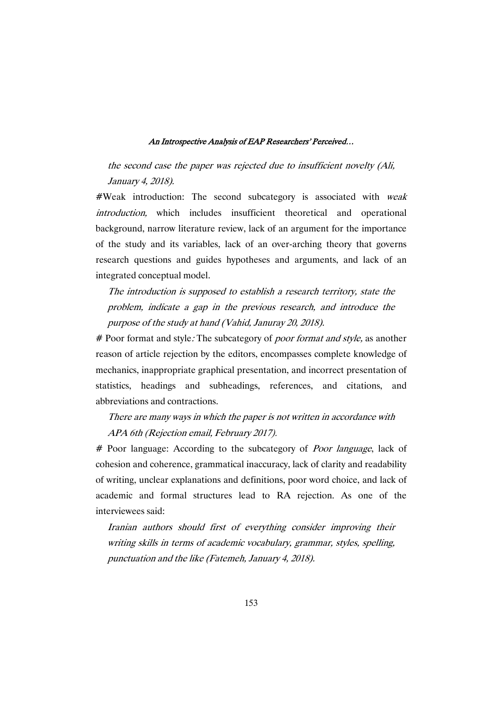the second case the paper was rejected due to insufficient novelty (Ali, January 4, 2018).

#Weak introduction: The second subcategory is associated with weak introduction, which includes insufficient theoretical and operational background, narrow literature review, lack of an argument for the importance of the study and its variables, lack of an over-arching theory that governs research questions and guides hypotheses and arguments, and lack of an integrated conceptual model.

The introduction is supposed to establish <sup>a</sup> research territory, state the problem, indicate <sup>a</sup> gap in the previous research, and introduce the purpose of the study at hand (Vahid, Januray 20, 2018).

# Poor format and style: The subcategory of *poor format and style*, as another reason of article rejection by the editors, encompasses complete knowledge of mechanics, inappropriate graphical presentation, and incorrect presentation of statistics, headings and subheadings, references, and citations, and abbreviations and contractions.

# There are many ways in which the paper is not written in accordance with APA 6th (Rejection email, February 2017).

# Poor language: According to the subcategory of *Poor language*, lack of cohesion and coherence, grammatical inaccuracy, lack of clarity and readability of writing, unclear explanations and definitions, poor word choice, and lack of academic and formal structures lead to RA rejection. As one of the interviewees said:

Iranian authors should first of everything consider improving their writing skills in terms of academic vocabulary, grammar, styles, spelling, punctuation and the like (Fatemeh, January 4, 2018).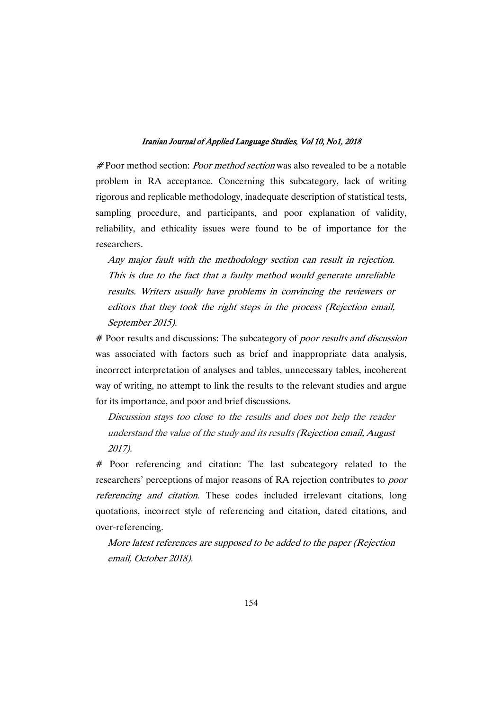# Poor method section: *Poor method section* was also revealed to be a notable problem in RA acceptance. Concerning this subcategory, lack of writing rigorous and replicable methodology, inadequate description of statistical tests, sampling procedure, and participants, and poor explanation of validity, reliability, and ethicality issues were found to be of importance for the researchers.

Any major fault with the methodology section can result in rejection. This is due to the fact that <sup>a</sup> faulty method would generate unreliable results. Writers usually have problems in convincing the reviewers or editors that they took the right steps in the process (Rejection email, September 2015).

# Poor results and discussions: The subcategory of *poor results and discussion* was associated with factors such as brief and inappropriate data analysis, incorrect interpretation of analyses and tables, unnecessary tables, incoherent way of writing, no attempt to link the results to the relevant studies and argue for its importance, and poor and brief discussions.

Discussion stays too close to the results and does not help the reader understand the value of the study and its results (Rejection email, August 2017).

# Poor referencing and citation: The last subcategory related to the researchers' perceptions of major reasons of RA rejection contributes to poor referencing and citation. These codes included irrelevant citations, long quotations, incorrect style of referencing and citation, dated citations, and over-referencing.

More latest references are supposed to be added to the paper (Rejection email, October 2018).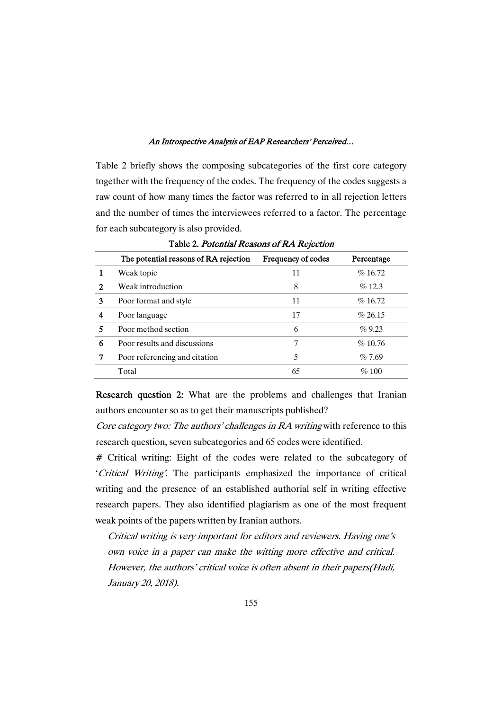Table 2 briefly shows the composing subcategories of the first core category together with the frequency of the codes. The frequency of the codes suggests a raw count of how many times the factor was referred to in all rejection letters and the number of times the interviewees referred to a factor. The percentage for each subcategory is also provided.

|   | The potential reasons of RA rejection | Frequency of codes | Percentage |
|---|---------------------------------------|--------------------|------------|
|   | Weak topic                            | 11                 | %16.72     |
| 2 | Weak introduction                     | 8                  | $\%$ 12.3  |
| 3 | Poor format and style                 | 11                 | $\%$ 16.72 |
|   | Poor language                         | 17                 | $\%$ 26.15 |
|   | Poor method section                   | 6                  | $\%$ 9.23  |
| 6 | Poor results and discussions          | 7                  | $\%$ 10.76 |
|   | Poor referencing and citation         | 5                  | $\%$ 7.69  |
|   | Total                                 | 65                 | $\%$ 100   |
|   |                                       |                    |            |

Table 2. Potential Reasons of RA Rejection

Research question 2: What are the problems and challenges that Iranian authors encounter so as to get their manuscripts published?

Core category two: The authors' challenges in RA writing with reference to this research question, seven subcategories and 65 codes were identified.

# Critical writing: Eight of the codes were related to the subcategory of 'Critical Writing'. The participants emphasized the importance of critical writing and the presence of an established authorial self in writing effective research papers. They also identified plagiarism as one of the most frequent weak points of the papers written by Iranian authors.

Critical writing is very important for editors and reviewers. Having one's own voice in <sup>a</sup> paper can make the witting more effective and critical. However, the authors' critical voice is often absent in their papers(Hadi, January 20, 2018).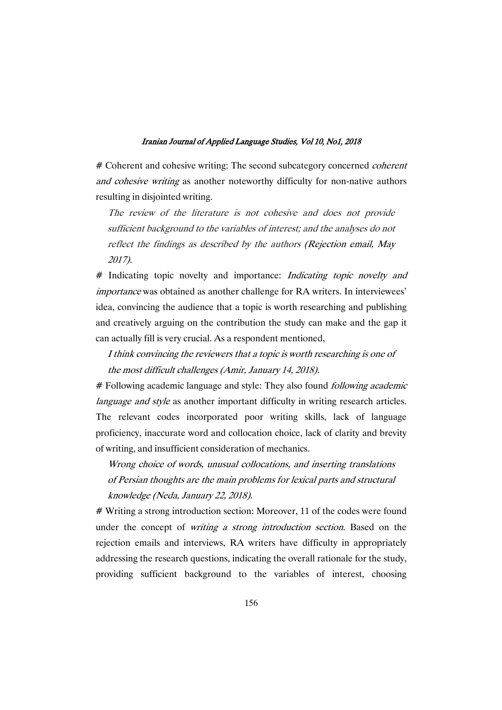# Coherent and cohesive writing: The second subcategory concerned *coherent* and cohesive writing as another noteworthy difficulty for non-native authors resulting in disjointed writing.

The review of the literature is not cohesive and does not provide sufficient background to the variables of interest; and the analyses do not reflect the findings as described by the authors (Rejection email, May 2017).

# Indicating topic novelty and importance: *Indicating topic novelty and* importance was obtained as another challenge for RA writers. In interviewees' idea, convincing the audience that a topic is worth researching and publishing and creatively arguing on the contribution the study can make and the gap it can actually fill is very crucial. As a respondent mentioned,

# I think convincing the reviewers that <sup>a</sup> topic is worth researching is one of the most difficult challenges (Amir, January 14, 2018).

# Following academic language and style: They also found *following academic* language and style as another important difficulty in writing research articles. The relevant codes incorporated poor writing skills, lack of language proficiency, inaccurate word and collocation choice, lack of clarity and brevity of writing, and insufficient consideration of mechanics.

Wrong choice of words, unusual collocations, and inserting translations of Persian thoughts are the main problems for lexical parts and structural knowledge (Neda, January 22, 2018).

# Writing a strong introduction section: Moreover, 11 of the codes were found under the concept of *writing a strong introduction section*. Based on the rejection emails and interviews, RA writers have difficulty in appropriately addressing the research questions, indicating the overall rationale for the study, providing sufficient background to the variables of interest, choosing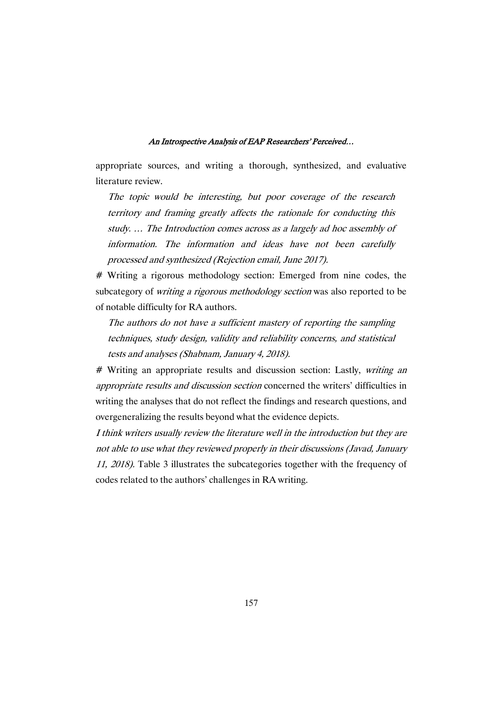appropriate sources, and writing a thorough, synthesized, and evaluative literature review.

The topic would be interesting, but poor coverage of the research territory and framing greatly affects the rationale for conducting this study. … The Introduction comes across as <sup>a</sup> largely ad hoc assembly of information. The information and ideas have not been carefully processed and synthesized (Rejection email, June 2017).

# Writing a rigorous methodology section: Emerged from nine codes, the subcategory of *writing a rigorous methodology section* was also reported to be of notable difficulty for RA authors.

The authors do not have <sup>a</sup> sufficient mastery of reporting the sampling techniques, study design, validity and reliability concerns, and statistical tests and analyses (Shabnam, January 4, 2018).

# Writing an appropriate results and discussion section: Lastly, writing an appropriate results and discussion section concerned the writers' difficulties in writing the analyses that do not reflect the findings and research questions, and overgeneralizing the results beyond what the evidence depicts.

I think writers usually review the literature well in the introduction but they are not able to use what they reviewed properly in their discussions (Javad, January 11, 2018). Table 3 illustrates the subcategories together with the frequency of codes related to the authors' challenges in RA writing.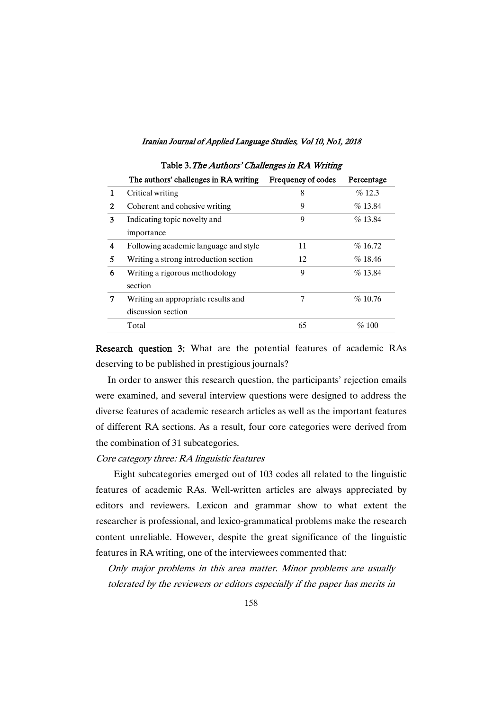|   | The authors' challenges in RA writing | Frequency of codes | Percentage |
|---|---------------------------------------|--------------------|------------|
|   | Critical writing                      | 8                  | $\%$ 12.3  |
| 2 | Coherent and cohesive writing         | 9                  | $\%$ 13.84 |
| 3 | Indicating topic novelty and          | 9                  | $\%$ 13.84 |
|   | importance                            |                    |            |
| 4 | Following academic language and style | 11                 | $\%$ 16.72 |
| 5 | Writing a strong introduction section | 12                 | %18.46     |
| 6 | Writing a rigorous methodology        | 9                  | $\%$ 13.84 |
|   | section                               |                    |            |
| 7 | Writing an appropriate results and    | 7                  | $\%$ 10.76 |
|   | discussion section                    |                    |            |
|   | Total                                 | 65                 | %100       |

## Table 3. The Authors' Challenges in RA Writing

Research question 3: What are the potential features of academic RAs deserving to be published in prestigious journals?

In order to answer this research question, the participants' rejection emails were examined, and several interview questions were designed to address the diverse features of academic research articles as well as the important features of different RA sections. As a result, four core categories were derived from the combination of 31 subcategories.

## Core category three: RA linguistic features

Eight subcategories emerged out of 103 codes all related to the linguistic features of academic RAs. Well-written articles are always appreciated by editors and reviewers. Lexicon and grammar show to what extent the researcher is professional, and lexico-grammatical problems make the research content unreliable. However, despite the great significance of the linguistic features in RA writing, one of the interviewees commented that:

Only major problems in this area matter. Minor problems are usually tolerated by the reviewers or editors especially if the paper has merits in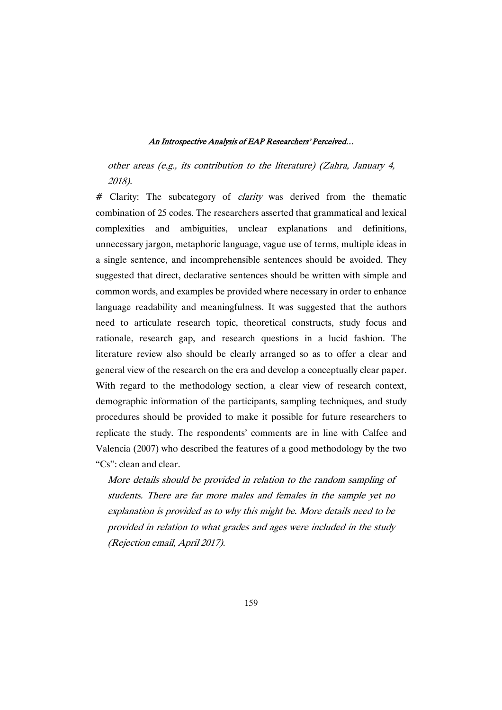other areas (e.g., its contribution to the literature) (Zahra, January 4, 2018).

# Clarity: The subcategory of *clarity* was derived from the thematic combination of 25 codes. The researchers asserted that grammatical and lexical complexities and ambiguities, unclear explanations and definitions, unnecessary jargon, metaphoric language, vague use of terms, multiple ideas in a single sentence, and incomprehensible sentences should be avoided. They suggested that direct, declarative sentences should be written with simple and common words, and examples be provided where necessary in order to enhance language readability and meaningfulness. It was suggested that the authors need to articulate research topic, theoretical constructs, study focus and rationale, research gap, and research questions in a lucid fashion. The literature review also should be clearly arranged so as to offer a clear and general view of the research on the era and develop a conceptually clear paper. With regard to the methodology section, a clear view of research context, demographic information of the participants, sampling techniques, and study procedures should be provided to make it possible for future researchers to replicate the study. The respondents' comments are in line with Calfee and Valencia (2007) who described the features of a good methodology by the two "Cs": clean and clear.

More details should be provided in relation to the random sampling of students. There are far more males and females in the sample yet no explanation is provided as to why this might be. More details need to be provided in relation to what grades and ages were included in the study (Rejection email, April 2017).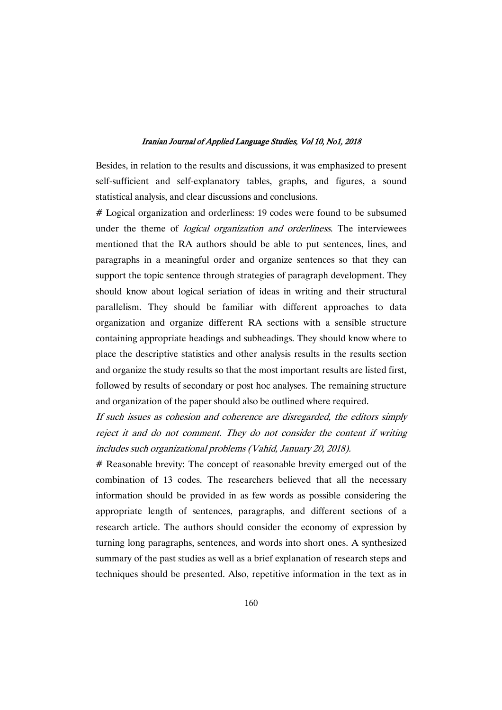Besides, in relation to the results and discussions, it was emphasized to present self-sufficient and self-explanatory tables, graphs, and figures, a sound statistical analysis, and clear discussions and conclusions.

# Logical organization and orderliness: 19 codes were found to be subsumed under the theme of *logical organization and orderliness*. The interviewees mentioned that the RA authors should be able to put sentences, lines, and paragraphs in a meaningful order and organize sentences so that they can support the topic sentence through strategies of paragraph development. They should know about logical seriation of ideas in writing and their structural parallelism. They should be familiar with different approaches to data organization and organize different RA sections with a sensible structure containing appropriate headings and subheadings. They should know where to place the descriptive statistics and other analysis results in the results section and organize the study results so that the most important results are listed first, followed by results of secondary or post hoc analyses. The remaining structure and organization of the paper should also be outlined where required.

If such issues as cohesion and coherence are disregarded, the editors simply reject it and do not comment. They do not consider the content if writing includes such organizational problems (Vahid, January 20, 2018).

# Reasonable brevity: The concept of reasonable brevity emerged out of the combination of 13 codes. The researchers believed that all the necessary information should be provided in as few words as possible considering the appropriate length of sentences, paragraphs, and different sections of a research article. The authors should consider the economy of expression by turning long paragraphs, sentences, and words into short ones. A synthesized summary of the past studies as well as a brief explanation of research steps and techniques should be presented. Also, repetitive information in the text as in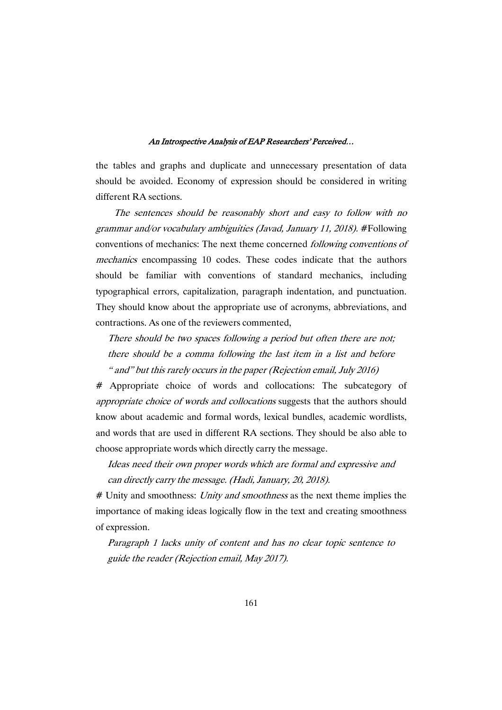the tables and graphs and duplicate and unnecessary presentation of data should be avoided. Economy of expression should be considered in writing different RA sections.

The sentences should be reasonably short and easy to follow with no grammar and/or vocabulary ambiguities (Javad, January 11, 2018). #Following conventions of mechanics: The next theme concerned following conventions of mechanics encompassing 10 codes. These codes indicate that the authors should be familiar with conventions of standard mechanics, including typographical errors, capitalization, paragraph indentation, and punctuation. They should know about the appropriate use of acronyms, abbreviations, and contractions. As one of the reviewers commented,

There should be two spaces following <sup>a</sup> period but often there are not; there should be <sup>a</sup> comma following the last item in <sup>a</sup> list and before " and" but this rarely occurs in the paper (Rejection email, July 2016)

# Appropriate choice of words and collocations: The subcategory of appropriate choice of words and collocations suggests that the authors should know about academic and formal words, lexical bundles, academic wordlists, and words that are used in different RA sections. They should be also able to choose appropriate words which directly carry the message.

Ideas need their own proper words which are formal and expressive and can directly carry the message. (Hadi, January, 20, 2018).

# Unity and smoothness: Unity and smoothness as the next theme implies the importance of making ideas logically flow in the text and creating smoothness of expression.

Paragraph 1 lacks unity of content and has no clear topic sentence to guide the reader (Rejection email, May 2017).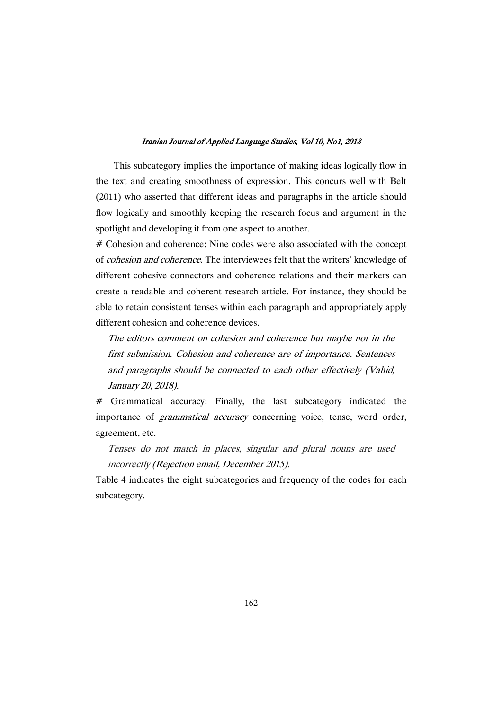This subcategory implies the importance of making ideas logically flow in the text and creating smoothness of expression. This concurs well with Belt (2011) who asserted that different ideas and paragraphs in the article should flow logically and smoothly keeping the research focus and argument in the spotlight and developing it from one aspect to another.

# Cohesion and coherence: Nine codes were also associated with the concept of cohesion and coherence. The interviewees felt that the writers' knowledge of different cohesive connectors and coherence relations and their markers can create a readable and coherent research article. For instance, they should be able to retain consistent tenses within each paragraph and appropriately apply different cohesion and coherence devices.

The editors comment on cohesion and coherence but maybe not in the first submission. Cohesion and coherence are of importance. Sentences and paragraphs should be connected to each other effectively (Vahid, January 20, 2018).

# Grammatical accuracy: Finally, the last subcategory indicated the importance of grammatical accuracy concerning voice, tense, word order, agreement, etc.

Tenses do not match in places, singular and plural nouns are used incorrectly (Rejection email, December 2015).

Table 4 indicates the eight subcategories and frequency of the codes for each subcategory.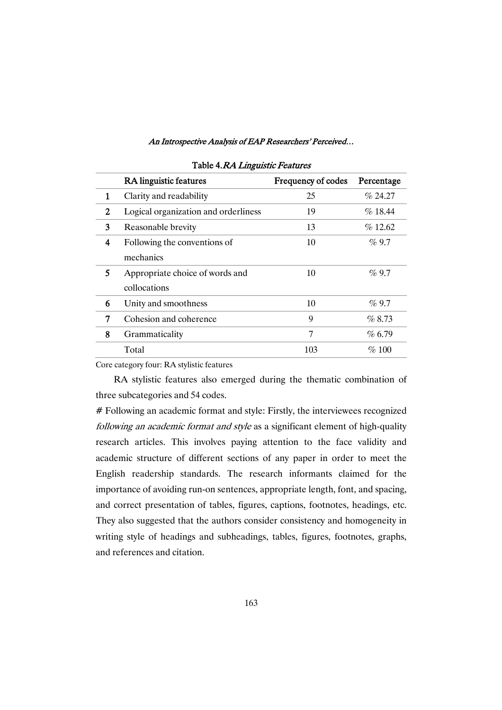|   | <b>RA</b> linguistic features        | Frequency of codes | Percentage |
|---|--------------------------------------|--------------------|------------|
| 1 | Clarity and readability              | 25                 | $\%$ 24.27 |
| 2 | Logical organization and orderliness | 19                 | $\%$ 18.44 |
| 3 | Reasonable brevity                   | 13                 | $\%$ 12.62 |
| 4 | Following the conventions of         | 10                 | $\%9.7$    |
|   | mechanics                            |                    |            |
| 5 | Appropriate choice of words and      | 10                 | $\%9.7$    |
|   | collocations                         |                    |            |
| 6 | Unity and smoothness                 | 10                 | $\%9.7$    |
| 7 | Cohesion and coherence               | 9                  | $\%8.73$   |
| 8 | Grammaticality                       | 7                  | $\%$ 6.79  |
|   | Total                                | 103                | $\%$ 100   |

#### Table 4.RA Linguistic Features

Core category four: RA stylistic features

RA stylistic features also emerged during the thematic combination of three subcategories and 54 codes.

# Following an academic format and style: Firstly, the interviewees recognized following an academic format and style as a significant element of high-quality research articles. This involves paying attention to the face validity and academic structure of different sections of any paper in order to meet the English readership standards. The research informants claimed for the importance of avoiding run-on sentences, appropriate length, font, and spacing, and correct presentation of tables, figures, captions, footnotes, headings, etc. They also suggested that the authors consider consistency and homogeneity in writing style of headings and subheadings, tables, figures, footnotes, graphs, and references and citation.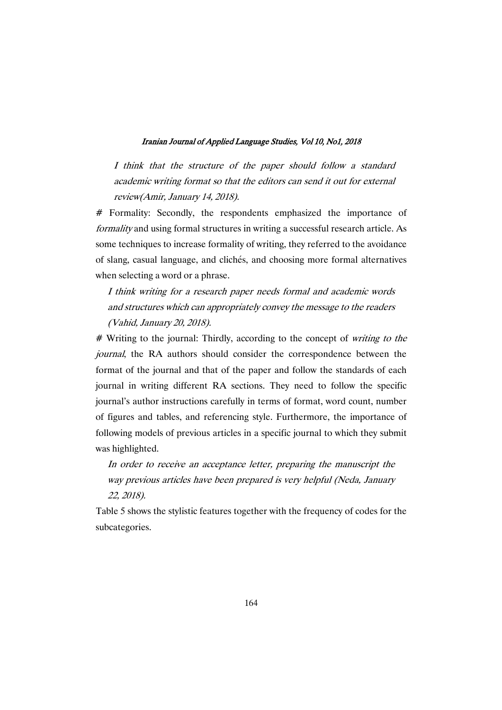I think that the structure of the paper should follow <sup>a</sup> standard academic writing format so that the editors can send it out for external review(Amir, January 14, 2018).

# Formality: Secondly, the respondents emphasized the importance of formality and using formal structures in writing a successful research article. As some techniques to increase formality of writing, they referred to the avoidance of slang, casual language, and clichés, and choosing more formal alternatives when selecting a word or a phrase.

# I think writing for <sup>a</sup> research paper needs formal and academic words and structures which can appropriately convey the message to the readers (Vahid, January 20, 2018).

# Writing to the journal: Thirdly, according to the concept of writing to the journal, the RA authors should consider the correspondence between the format of the journal and that of the paper and follow the standards of each journal in writing different RA sections. They need to follow the specific journal's author instructions carefully in terms of format, word count, number of figures and tables, and referencing style. Furthermore, the importance of following models of previous articles in a specific journal to which they submit was highlighted.

In order to receive an acceptance letter, preparing the manuscript the way previous articles have been prepared is very helpful (Neda, January 22, 2018).

Table 5 shows the stylistic features together with the frequency of codes for the subcategories.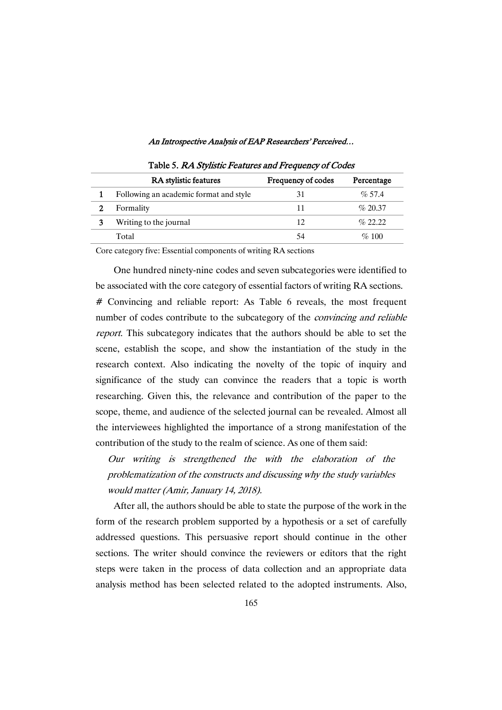| <b>RA</b> stylistic features           | Frequency of codes | Percentage |
|----------------------------------------|--------------------|------------|
| Following an academic format and style |                    | $\%$ 57.4  |
| Formality                              | 11                 | $\%$ 20.37 |
| Writing to the journal                 | 12                 | $\%$ 22.22 |
| Total                                  | 54                 | $\%$ 100   |

Table 5. RA Stylistic Features and Frequency of Codes

Core category five: Essential components of writing RA sections

One hundred ninety-nine codes and seven subcategories were identified to be associated with the core category of essential factors of writing RA sections. # Convincing and reliable report: As Table 6 reveals, the most frequent number of codes contribute to the subcategory of the *convincing and reliable* report. This subcategory indicates that the authors should be able to set the scene, establish the scope, and show the instantiation of the study in the research context. Also indicating the novelty of the topic of inquiry and significance of the study can convince the readers that a topic is worth researching. Given this, the relevance and contribution of the paper to the scope, theme, and audience of the selected journal can be revealed. Almost all the interviewees highlighted the importance of a strong manifestation of the contribution of the study to the realm of science. As one of them said:

Our writing is strengthened the with the elaboration of the problematization of the constructs and discussing why the study variables would matter (Amir, January 14, 2018).

After all, the authors should be able to state the purpose of the work in the form of the research problem supported by a hypothesis or a set of carefully addressed questions. This persuasive report should continue in the other sections. The writer should convince the reviewers or editors that the right steps were taken in the process of data collection and an appropriate data analysis method has been selected related to the adopted instruments. Also,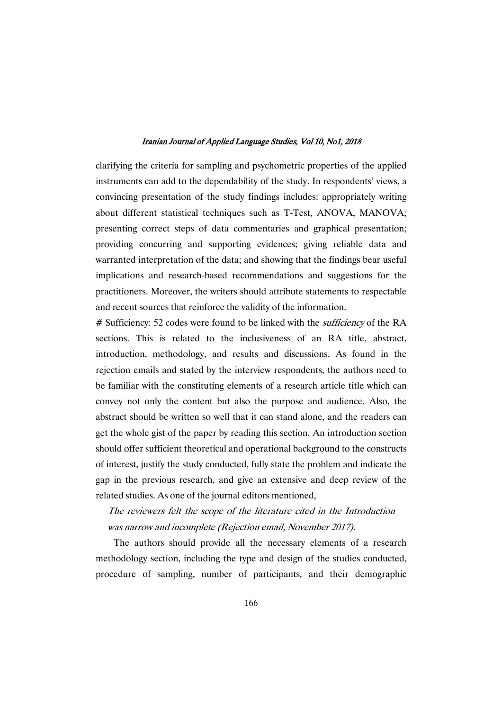clarifying the criteria for sampling and psychometric properties of the applied instruments can add to the dependability of the study. In respondents' views, a convincing presentation of the study findings includes: appropriately writing about different statistical techniques such as T-Test, ANOVA, MANOVA; presenting correct steps of data commentaries and graphical presentation; providing concurring and supporting evidences; giving reliable data and warranted interpretation of the data; and showing that the findings bear useful implications and research-based recommendations and suggestions for the practitioners. Moreover, the writers should attribute statements to respectable and recent sources that reinforce the validity of the information.

# Sufficiency: 52 codes were found to be linked with the *sufficiency* of the RA sections. This is related to the inclusiveness of an RA title, abstract, introduction, methodology, and results and discussions. As found in the rejection emails and stated by the interview respondents, the authors need to be familiar with the constituting elements of a research article title which can convey not only the content but also the purpose and audience. Also, the abstract should be written so well that it can stand alone, and the readers can get the whole gist of the paper by reading this section. An introduction section should offer sufficient theoretical and operational background to the constructs of interest, justify the study conducted, fully state the problem and indicate the gap in the previous research, and give an extensive and deep review of the related studies. As one of the journal editors mentioned,

The reviewers felt the scope of the literature cited in the Introduction was narrow and incomplete (Rejection email, November 2017).

The authors should provide all the necessary elements of a research methodology section, including the type and design of the studies conducted, procedure of sampling, number of participants, and their demographic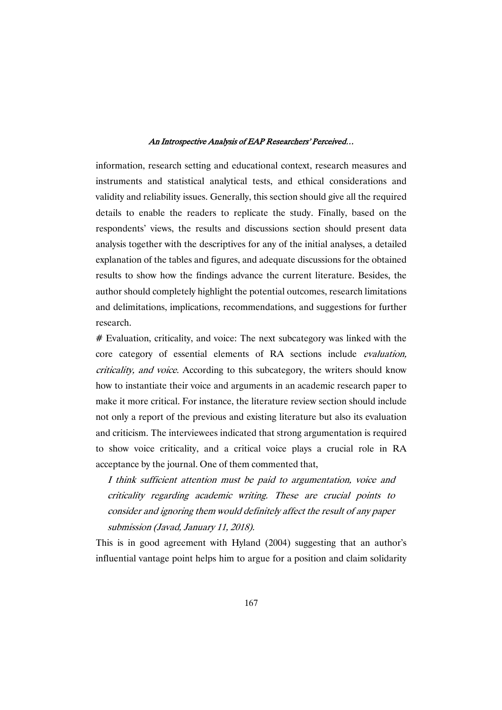information, research setting and educational context, research measures and instruments and statistical analytical tests, and ethical considerations and validity and reliability issues. Generally, this section should give all the required details to enable the readers to replicate the study. Finally, based on the respondents' views, the results and discussions section should present data analysis together with the descriptives for any of the initial analyses, a detailed explanation of the tables and figures, and adequate discussions for the obtained results to show how the findings advance the current literature. Besides, the author should completely highlight the potential outcomes, research limitations and delimitations, implications, recommendations, and suggestions for further research.

# Evaluation, criticality, and voice: The next subcategory was linked with the core category of essential elements of RA sections include evaluation, criticality, and voice. According to this subcategory, the writers should know how to instantiate their voice and arguments in an academic research paper to make it more critical. For instance, the literature review section should include not only a report of the previous and existing literature but also its evaluation and criticism. The interviewees indicated that strong argumentation is required to show voice criticality, and a critical voice plays a crucial role in RA acceptance by the journal. One of them commented that,

I think sufficient attention must be paid to argumentation, voice and criticality regarding academic writing. These are crucial points to consider and ignoring them would definitely affect the result of any paper submission (Javad, January 11, 2018).

This is in good agreement with Hyland (2004) suggesting that an author's influential vantage point helps him to argue for a position and claim solidarity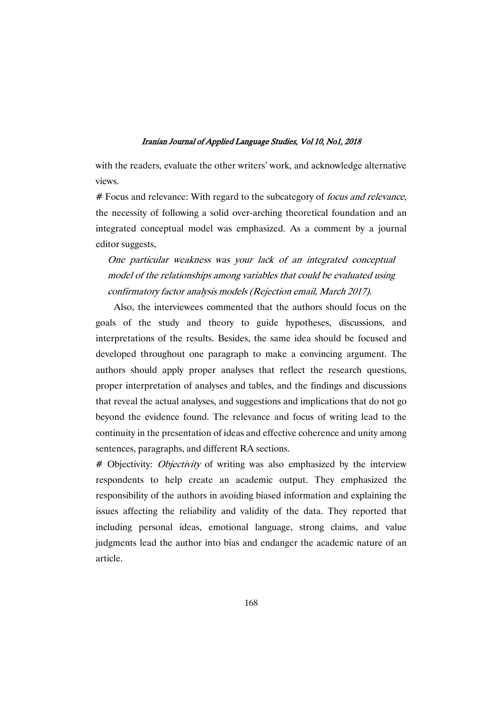with the readers, evaluate the other writers' work, and acknowledge alternative views.

# Focus and relevance: With regard to the subcategory of *focus and relevance*, the necessity of following a solid over-arching theoretical foundation and an integrated conceptual model was emphasized. As a comment by a journal editor suggests,

One particular weakness was your lack of an integrated conceptual model of the relationships among variables that could be evaluated using confirmatory factor analysis models (Rejection email, March 2017).

Also, the interviewees commented that the authors should focus on the goals of the study and theory to guide hypotheses, discussions, and interpretations of the results. Besides, the same idea should be focused and developed throughout one paragraph to make a convincing argument. The authors should apply proper analyses that reflect the research questions, proper interpretation of analyses and tables, and the findings and discussions that reveal the actual analyses, and suggestions and implications that do not go beyond the evidence found. The relevance and focus of writing lead to the continuity in the presentation of ideas and effective coherence and unity among sentences, paragraphs, and different RA sections.

# Objectivity: *Objectivity* of writing was also emphasized by the interview respondents to help create an academic output. They emphasized the responsibility of the authors in avoiding biased information and explaining the issues affecting the reliability and validity of the data. They reported that including personal ideas, emotional language, strong claims, and value judgments lead the author into bias and endanger the academic nature of an article.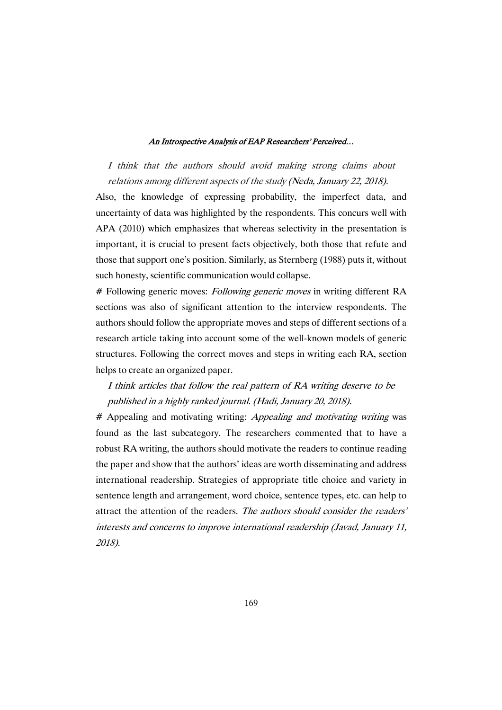I think that the authors should avoid making strong claims about relations among different aspects of the study (Neda, January 22, 2018).

Also, the knowledge of expressing probability, the imperfect data, and uncertainty of data was highlighted by the respondents. This concurs well with APA (2010) which emphasizes that whereas selectivity in the presentation is important, it is crucial to present facts objectively, both those that refute and those that support one's position. Similarly, as Sternberg (1988) puts it, without such honesty, scientific communication would collapse.

# Following generic moves: *Following generic moves* in writing different RA sections was also of significant attention to the interview respondents. The authors should follow the appropriate moves and steps of different sections of a research article taking into account some of the well-known models of generic structures. Following the correct moves and steps in writing each RA, section helps to create an organized paper.

# I think articles that follow the real pattern of RA writing deserve to be published in <sup>a</sup> highly ranked journal. (Hadi, January 20, 2018).

# Appealing and motivating writing: Appealing and motivating writing was found as the last subcategory. The researchers commented that to have a robust RA writing, the authors should motivate the readers to continue reading the paper and show that the authors' ideas are worth disseminating and address international readership. Strategies of appropriate title choice and variety in sentence length and arrangement, word choice, sentence types, etc. can help to attract the attention of the readers. The authors should consider the readers' interests and concerns to improve international readership (Javad, January 11, 2018).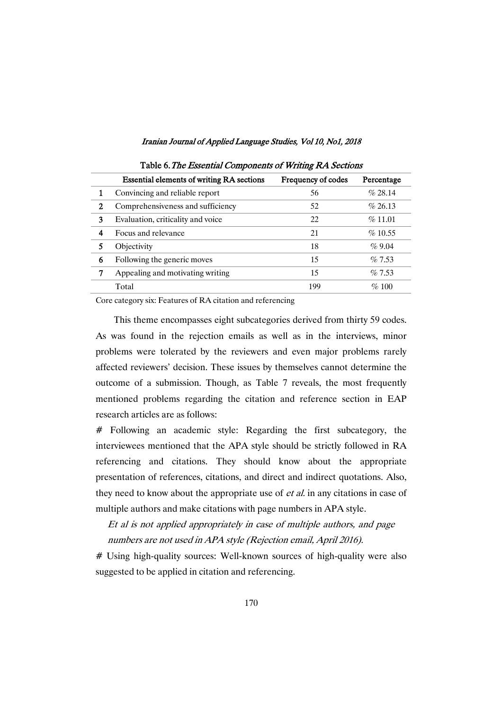|   | <b>Essential elements of writing RA sections</b> | Frequency of codes | Percentage |
|---|--------------------------------------------------|--------------------|------------|
|   | Convincing and reliable report                   | 56                 | $\%$ 28.14 |
| 2 | Comprehensiveness and sufficiency                | 52                 | $\%$ 26.13 |
| 3 | Evaluation, criticality and voice                | 22                 | $\%$ 11.01 |
| 4 | Focus and relevance                              | 21                 | $\%$ 10.55 |
|   | Objectivity                                      | 18                 | $\%9.04$   |
| 6 | Following the generic moves                      | 15                 | $\%$ 7.53  |
| 7 | Appealing and motivating writing                 | 15                 | $\%$ 7.53  |
|   | Total                                            | 199                | $\%$ 100   |

Table 6. The Essential Components of Writing RA Sections

Core category six: Features of RA citation and referencing

This theme encompasses eight subcategories derived from thirty 59 codes. As was found in the rejection emails as well as in the interviews, minor problems were tolerated by the reviewers and even major problems rarely affected reviewers' decision. These issues by themselves cannot determine the outcome of a submission. Though, as Table 7 reveals, the most frequently mentioned problems regarding the citation and reference section in EAP research articles are as follows:

# Following an academic style: Regarding the first subcategory, the interviewees mentioned that the APA style should be strictly followed in RA referencing and citations. They should know about the appropriate presentation of references, citations, and direct and indirect quotations. Also, they need to know about the appropriate use of *et al.* in any citations in case of multiple authors and make citations with page numbers in APA style.

Et al is not applied appropriately in case of multiple authors, and page numbers are not used in APA style (Rejection email, April 2016).

# Using high-quality sources: Well-known sources of high-quality were also suggested to be applied in citation and referencing.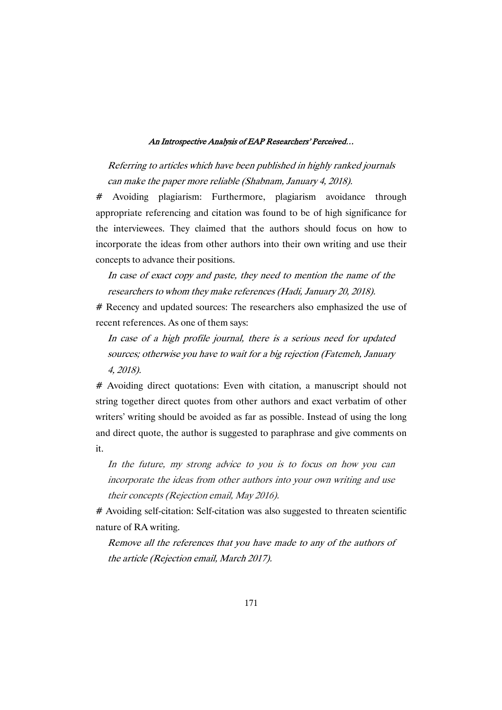Referring to articles which have been published in highly ranked journals can make the paper more reliable (Shabnam, January 4, 2018).

# Avoiding plagiarism: Furthermore, plagiarism avoidance through appropriate referencing and citation was found to be of high significance for the interviewees. They claimed that the authors should focus on how to incorporate the ideas from other authors into their own writing and use their concepts to advance their positions.

In case of exact copy and paste, they need to mention the name of the researchers to whom they make references (Hadi, January 20, 2018).

# Recency and updated sources: The researchers also emphasized the use of recent references. As one of them says:

In case of <sup>a</sup> high profile journal, there is <sup>a</sup> serious need for updated sources; otherwise you have to wait for <sup>a</sup> big rejection (Fatemeh, January 4, 2018).

# Avoiding direct quotations: Even with citation, a manuscript should not string together direct quotes from other authors and exact verbatim of other writers' writing should be avoided as far as possible. Instead of using the long and direct quote, the author is suggested to paraphrase and give comments on it.

In the future, my strong advice to you is to focus on how you can incorporate the ideas from other authors into your own writing and use their concepts (Rejection email, May 2016).

# Avoiding self-citation: Self-citation was also suggested to threaten scientific nature of RA writing.

Remove all the references that you have made to any of the authors of the article (Rejection email, March 2017).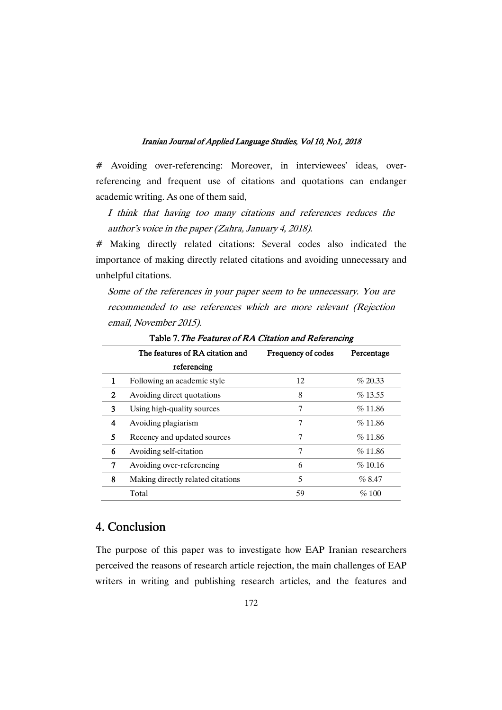# Avoiding over-referencing: Moreover, in interviewees' ideas, overreferencing and frequent use of citations and quotations can endanger academic writing. As one of them said,

I think that having too many citations and references reduces the author's voice in the paper (Zahra, January 4, 2018).

# Making directly related citations: Several codes also indicated the importance of making directly related citations and avoiding unnecessary and unhelpful citations.

Some of the references in your paper seem to be unnecessary. You are recommended to use references which are more relevant (Rejection email, November 2015).

|              |                                   |                    | ັ          |
|--------------|-----------------------------------|--------------------|------------|
|              | The features of RA citation and   | Frequency of codes | Percentage |
|              | referencing                       |                    |            |
| 1            | Following an academic style       | 12                 | % 20.33    |
| $\mathbf{2}$ | Avoiding direct quotations        | 8                  | $\%$ 13.55 |
| 3            | Using high-quality sources        | 7                  | %11.86     |
| 4            | Avoiding plagiarism               | 7                  | %11.86     |
| 5            | Recency and updated sources       | 7                  | %11.86     |
| 6            | Avoiding self-citation            | 7                  | %11.86     |
| 7            | Avoiding over-referencing         | 6                  | %10.16     |
| 8            | Making directly related citations | 5                  | %8.47      |
|              | Total                             | 59                 | $\%$ 100   |
|              |                                   |                    |            |

Table 7. The Features of RA Citation and Referencing

# 4. Conclusion

The purpose of this paper was to investigate how EAP Iranian researchers perceived the reasons of research article rejection, the main challenges of EAP writers in writing and publishing research articles, and the features and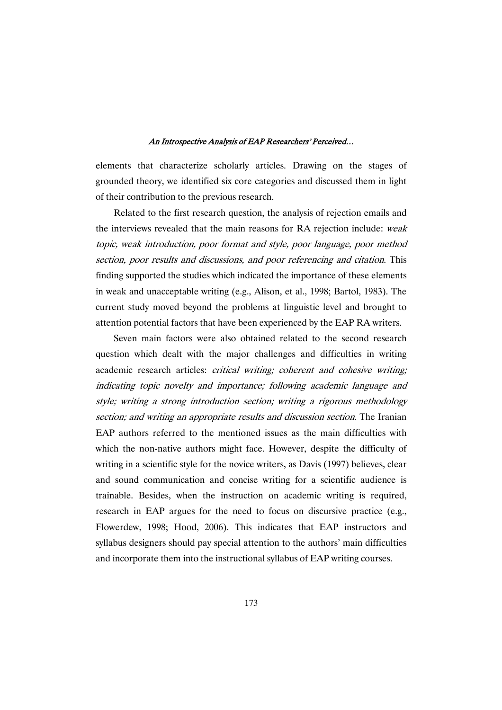elements that characterize scholarly articles. Drawing on the stages of grounded theory, we identified six core categories and discussed them in light of their contribution to the previous research.

Related to the first research question, the analysis of rejection emails and the interviews revealed that the main reasons for RA rejection include: weak topic, weak introduction, poor format and style, poor language, poor method section, poor results and discussions, and poor referencing and citation. This finding supported the studies which indicated the importance of these elements in weak and unacceptable writing (e.g., Alison, et al., 1998; Bartol, 1983). The current study moved beyond the problems at linguistic level and brought to attention potential factors that have been experienced by the EAP RA writers.

Seven main factors were also obtained related to the second research question which dealt with the major challenges and difficulties in writing academic research articles: critical writing; coherent and cohesive writing; indicating topic novelty and importance; following academic language and style; writing <sup>a</sup> strong introduction section; writing <sup>a</sup> rigorous methodology section; and writing an appropriate results and discussion section. The Iranian EAP authors referred to the mentioned issues as the main difficulties with which the non-native authors might face. However, despite the difficulty of writing in a scientific style for the novice writers, as Davis (1997) believes, clear and sound communication and concise writing for a scientific audience is trainable. Besides, when the instruction on academic writing is required, research in EAP argues for the need to focus on discursive practice (e.g., Flowerdew, 1998; Hood, 2006). This indicates that EAP instructors and syllabus designers should pay special attention to the authors' main difficulties and incorporate them into the instructional syllabus of EAP writing courses.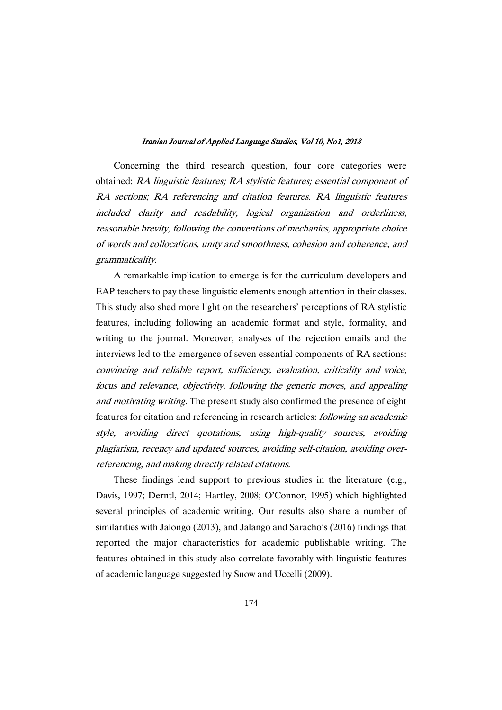Concerning the third research question, four core categories were obtained: RA linguistic features; RA stylistic features; essential component of RA sections; RA referencing and citation features. RA linguistic features included clarity and readability, logical organization and orderliness, reasonable brevity, following the conventions of mechanics, appropriate choice of words and collocations, unity and smoothness, cohesion and coherence, and grammaticality.

A remarkable implication to emerge is for the curriculum developers and EAP teachers to pay these linguistic elements enough attention in their classes. This study also shed more light on the researchers' perceptions of RA stylistic features, including following an academic format and style, formality, and writing to the journal. Moreover, analyses of the rejection emails and the interviews led to the emergence of seven essential components of RA sections: convincing and reliable report, sufficiency, evaluation, criticality and voice, focus and relevance, objectivity, following the generic moves, and appealing and motivating writing. The present study also confirmed the presence of eight features for citation and referencing in research articles: following an academic style, avoiding direct quotations, using high-quality sources, avoiding plagiarism, recency and updated sources, avoiding self-citation, avoiding overreferencing, and making directly related citations.

These findings lend support to previous studies in the literature (e.g., Davis, 1997; Derntl, 2014; Hartley, 2008; O'Connor, 1995) which highlighted several principles of academic writing. Our results also share a number of similarities with Jalongo (2013), and Jalango and Saracho's (2016) findings that reported the major characteristics for academic publishable writing. The features obtained in this study also correlate favorably with linguistic features of academic language suggested by Snow and Uccelli (2009).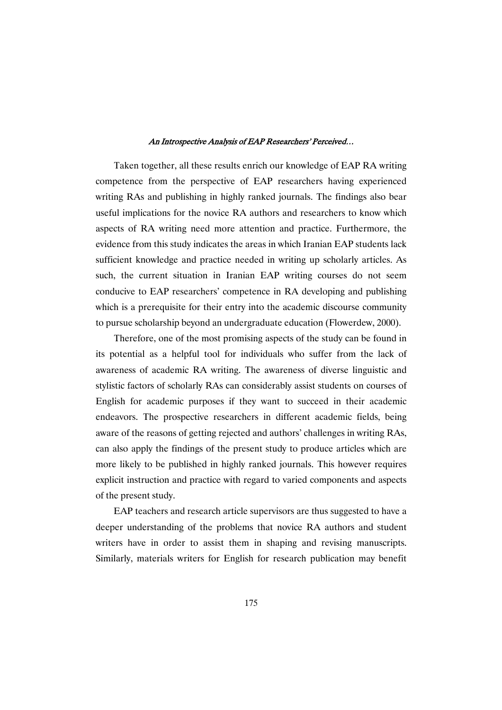Taken together, all these results enrich our knowledge of EAP RA writing competence from the perspective of EAP researchers having experienced writing RAs and publishing in highly ranked journals. The findings also bear useful implications for the novice RA authors and researchers to know which aspects of RA writing need more attention and practice. Furthermore, the evidence from this study indicates the areas in which Iranian EAP students lack sufficient knowledge and practice needed in writing up scholarly articles. As such, the current situation in Iranian EAP writing courses do not seem conducive to EAP researchers' competence in RA developing and publishing which is a prerequisite for their entry into the academic discourse community to pursue scholarship beyond an undergraduate education (Flowerdew, 2000).

Therefore, one of the most promising aspects of the study can be found in its potential as a helpful tool for individuals who suffer from the lack of awareness of academic RA writing. The awareness of diverse linguistic and stylistic factors of scholarly RAs can considerably assist students on courses of English for academic purposes if they want to succeed in their academic endeavors. The prospective researchers in different academic fields, being aware of the reasons of getting rejected and authors' challenges in writing RAs, can also apply the findings of the present study to produce articles which are more likely to be published in highly ranked journals. This however requires explicit instruction and practice with regard to varied components and aspects of the present study.

EAP teachers and research article supervisors are thus suggested to have a deeper understanding of the problems that novice RA authors and student writers have in order to assist them in shaping and revising manuscripts. Similarly, materials writers for English for research publication may benefit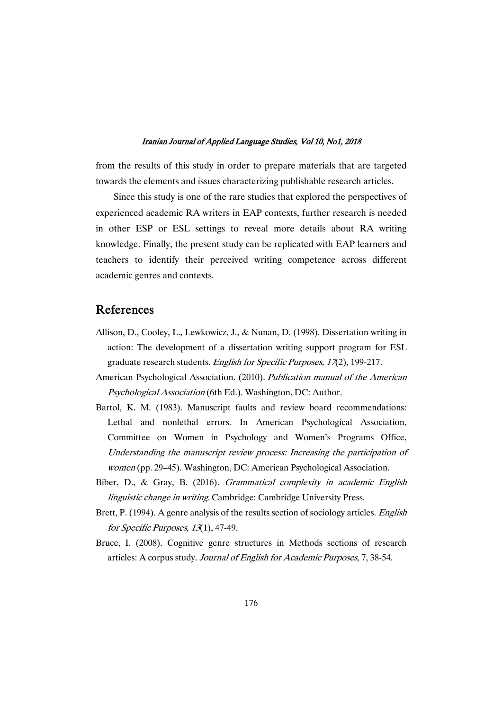from the results of this study in order to prepare materials that are targeted towards the elements and issues characterizing publishable research articles.

Since this study is one of the rare studies that explored the perspectives of experienced academic RA writers in EAP contexts, further research is needed in other ESP or ESL settings to reveal more details about RA writing knowledge. Finally, the present study can be replicated with EAP learners and teachers to identify their perceived writing competence across different academic genres and contexts.

# References

- Allison, D., Cooley, L., Lewkowicz, J., & Nunan, D. (1998). Dissertation writing in action: The development of a dissertation writing support program for ESL graduate research students. English for Specific Purposes, <sup>17</sup>(2), 199-217.
- American Psychological Association. (2010). Publication manual of the American Psychological Association (6th Ed.). Washington, DC: Author.
- Bartol, K. M. (1983). Manuscript faults and review board recommendations: Lethal and nonlethal errors. In American Psychological Association, Committee on Women in Psychology and Women's Programs Office, Understanding the manuscript review process: Increasing the participation of women (pp. 29–45). Washington, DC: American Psychological Association.
- Biber, D., & Gray, B. (2016). Grammatical complexity in academic English linguistic change in writing. Cambridge: Cambridge University Press.
- Brett, P. (1994). A genre analysis of the results section of sociology articles. *English* for Specific Purposes, 13(1), 47-49.
- Bruce, I. (2008). Cognitive genre structures in Methods sections of research articles: A corpus study. Journal of English for Academic Purposes, 7, 38-54.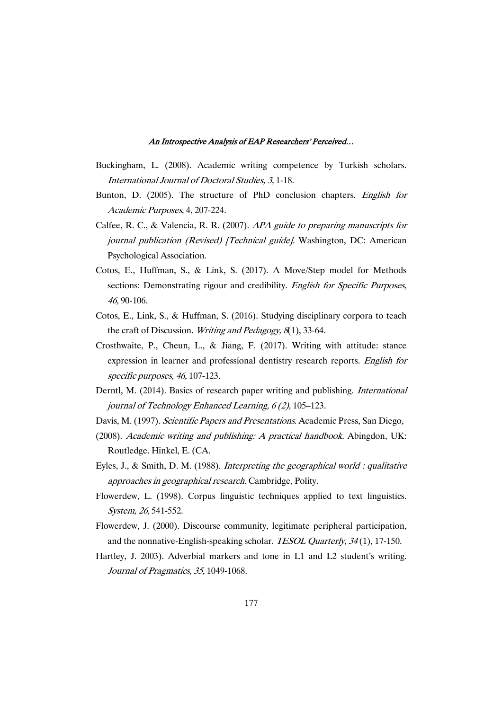- Buckingham, L. (2008). Academic writing competence by Turkish scholars. International Journal of Doctoral Studies, 3, 1-18.
- Bunton, D. (2005). The structure of PhD conclusion chapters. English for Academic Purposes, 4, 207-224.
- Calfee, R. C., & Valencia, R. R. (2007). APA guide to preparing manuscripts for journal publication (Revised) [Technical guide]. Washington, DC: American Psychological Association.
- Cotos, E., Huffman, S., & Link, S. (2017). A Move/Step model for Methods sections: Demonstrating rigour and credibility. *English for Specific Purposes*, 46, 90-106.
- Cotos, E., Link, S., & Huffman, S. (2016). Studying disciplinary corpora to teach the craft of Discussion. Writing and Pedagogy, <sup>8</sup>(1), 33-64.
- Crosthwaite, P., Cheun, L., & Jiang, F. (2017). Writing with attitude: stance expression in learner and professional dentistry research reports. English for specific purposes, 46, 107-123.
- Derntl, M. (2014). Basics of research paper writing and publishing. International journal of Technology Enhanced Learning, <sup>6</sup> (2), 105–123.
- Davis, M. (1997). Scientific Papers and Presentations. Academic Press, San Diego,
- (2008). Academic writing and publishing: <sup>A</sup> practical handbook. Abingdon, UK: Routledge. Hinkel, E. (CA.
- Eyles, J., & Smith, D. M. (1988). Interpreting the geographical world : qualitative approaches in geographical research. Cambridge, Polity.
- Flowerdew, L. (1998). Corpus linguistic techniques applied to text linguistics. System, 26, 541-552.
- Flowerdew, J. (2000). Discourse community, legitimate peripheral participation, and the nonnative-English-speaking scholar. TESOL Quarterly, <sup>34</sup> (1), 17-150.
- Hartley, J. 2003). Adverbial markers and tone in L1 and L2 student's writing. Journal of Pragmatics, 35, 1049-1068.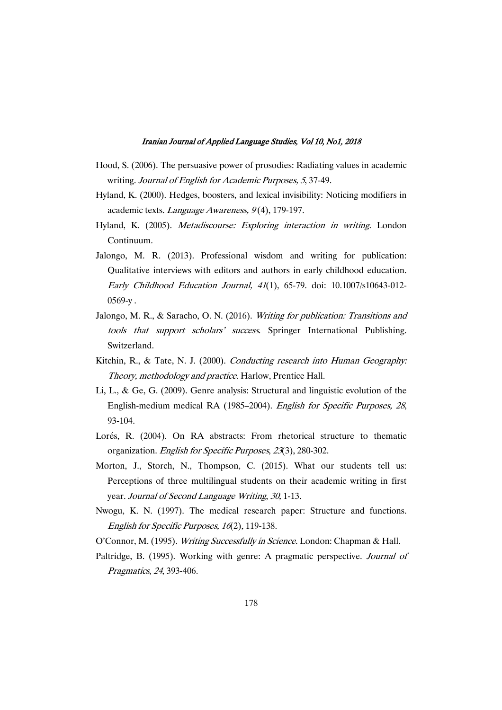- Hood, S. (2006). The persuasive power of prosodies: Radiating values in academic writing. Journal of English for Academic Purposes, <sup>5</sup>, 37-49.
- Hyland, K. (2000). Hedges, boosters, and lexical invisibility: Noticing modifiers in academic texts. Language Awareness, 9(4), 179-197.
- Hyland, K. (2005). Metadiscourse: Exploring interaction in writing. London Continuum.
- Jalongo, M. R. (2013). Professional wisdom and writing for publication: Qualitative interviews with editors and authors in early childhood education. Early Childhood Education Journal, <sup>41</sup>(1), 65-79. doi: 10.1007/s10643-012-  $0569-v.$
- Jalongo, M. R., & Saracho, O. N. (2016). Writing for publication: Transitions and tools that support scholars' success. Springer International Publishing. Switzerland.
- Kitchin, R., & Tate, N. J. (2000). Conducting research into Human Geography: Theory, methodology and practice. Harlow, Prentice Hall.
- Li, L., & Ge, G. (2009). Genre analysis: Structural and linguistic evolution of the English-medium medical RA (1985–2004). English for Specific Purposes, <sup>28</sup>, 93-104.
- Lorés, R. (2004). On RA abstracts: From rhetorical structure to thematic organization. English for Specific Purposes, <sup>23</sup>(3), 280-302.
- Morton, J., Storch, N., Thompson, C. (2015). What our students tell us: Perceptions of three multilingual students on their academic writing in first year. Journal of Second Language Writing, 30, 1-13.
- Nwogu, K. N. (1997). The medical research paper: Structure and functions. English for Specific Purposes, <sup>16</sup>(2), 119-138.
- O'Connor, M. (1995). Writing Successfully in Science. London: Chapman & Hall.
- Paltridge, B. (1995). Working with genre: A pragmatic perspective. Journal of Pragmatics, <sup>24</sup>, 393-406.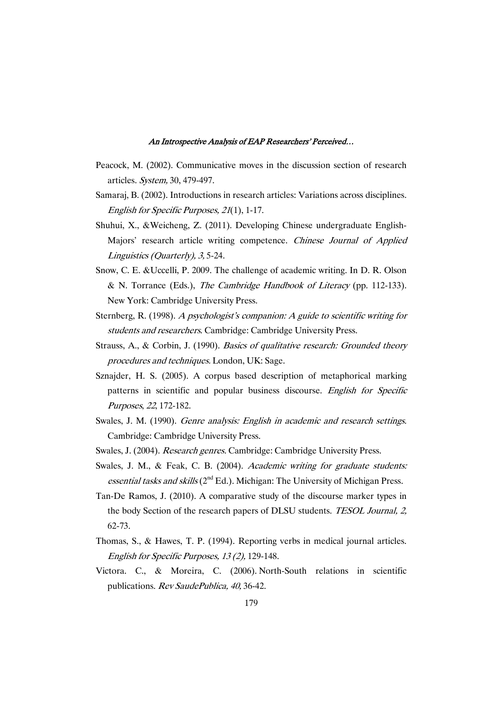- Peacock, M. (2002). Communicative moves in the discussion section of research articles. System, 30, 479-497.
- Samaraj, B. (2002). Introductions in research articles: Variations across disciplines. English for Specific Purposes, <sup>21</sup>(1), 1-17.
- Shuhui, X., &Weicheng, Z. (2011). Developing Chinese undergraduate English-Majors' research article writing competence. Chinese Journal of Applied Linguistics (Quarterly), 3, 5-24.
- Snow, C. E. &Uccelli, P. 2009. The challenge of academic writing. In D. R. Olson & N. Torrance (Eds.), The Cambridge Handbook of Literacy (pp. 112-133). New York: Cambridge University Press.
- Sternberg, R. (1998). <sup>A</sup> psychologist's companion: <sup>A</sup> guide to scientific writing for students and researchers. Cambridge: Cambridge University Press.
- Strauss, A., & Corbin, J. (1990). Basics of qualitative research: Grounded theory procedures and techniques. London, UK: Sage.
- Sznajder, H. S. (2005). A corpus based description of metaphorical marking patterns in scientific and popular business discourse. English for Specific Purposes, <sup>22</sup>, 172-182.
- Swales, J. M. (1990). *Genre analysis: English in academic and research settings.* Cambridge: Cambridge University Press.
- Swales, J. (2004). Research genres. Cambridge: Cambridge University Press.
- Swales, J. M., & Feak, C. B. (2004). Academic writing for graduate students: essential tasks and skills  $(2^{nd} Ed.)$ . Michigan: The University of Michigan Press.
- Tan-De Ramos, J. (2010). A comparative study of the discourse marker types in the body Section of the research papers of DLSU students. TESOL Journal, 2, 62-73.
- Thomas, S., & Hawes, T. P. (1994). Reporting verbs in medical journal articles. English for Specific Purposes, <sup>13</sup> (2), 129-148.
- Victora. C., & Moreira, C. (2006). North-South relations in scientific publications. Rev SaudePublica, 40, 36-42.